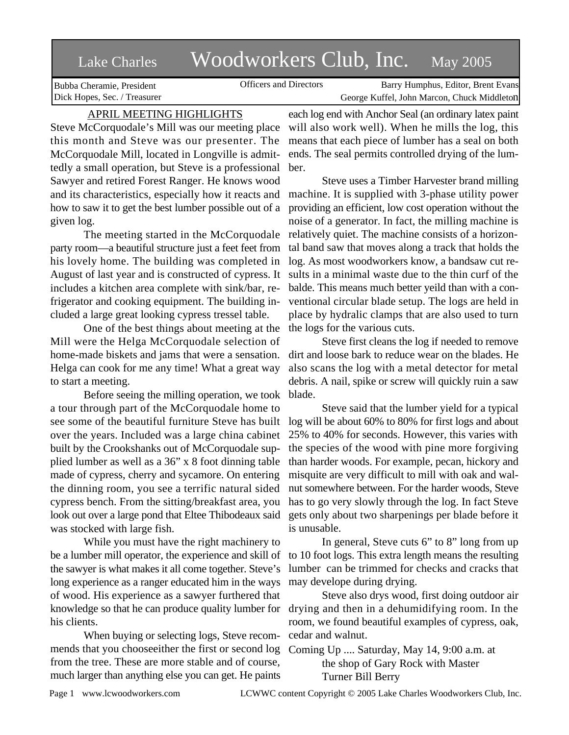# Lake Charles Woodworkers Club, Inc. May 2005

Bubba Cheramie, President Dick Hopes, Sec. / Treasurer

Officers and Directors Barry Humphus, Editor, Brent Evans George Kuffel, John Marcon, Chuck Middleton

# APRIL MEETING HIGHLIGHTS

Steve McCorquodale's Mill was our meeting place this month and Steve was our presenter. The McCorquodale Mill, located in Longville is admittedly a small operation, but Steve is a professional Sawyer and retired Forest Ranger. He knows wood and its characteristics, especially how it reacts and how to saw it to get the best lumber possible out of a given log.

The meeting started in the McCorquodale party room—a beautiful structure just a feet feet from his lovely home. The building was completed in August of last year and is constructed of cypress. It includes a kitchen area complete with sink/bar, refrigerator and cooking equipment. The building included a large great looking cypress tressel table.

One of the best things about meeting at the Mill were the Helga McCorquodale selection of home-made biskets and jams that were a sensation. Helga can cook for me any time! What a great way to start a meeting.

Before seeing the milling operation, we took a tour through part of the McCorquodale home to see some of the beautiful furniture Steve has built over the years. Included was a large china cabinet built by the Crookshanks out of McCorquodale supplied lumber as well as a 36" x 8 foot dinning table made of cypress, cherry and sycamore. On entering the dinning room, you see a terrific natural sided cypress bench. From the sitting/breakfast area, you look out over a large pond that Eltee Thibodeaux said was stocked with large fish.

While you must have the right machinery to be a lumber mill operator, the experience and skill of to 10 foot logs. This extra length means the resulting the sawyer is what makes it all come together. Steve's long experience as a ranger educated him in the ways of wood. His experience as a sawyer furthered that knowledge so that he can produce quality lumber for his clients.

When buying or selecting logs, Steve recommends that you chooseeither the first or second log Coming Up .... Saturday, May 14, 9:00 a.m. at from the tree. These are more stable and of course, much larger than anything else you can get. He paints

each log end with Anchor Seal (an ordinary latex paint will also work well). When he mills the log, this means that each piece of lumber has a seal on both ends. The seal permits controlled drying of the lumber.

Steve uses a Timber Harvester brand milling machine. It is supplied with 3-phase utility power providing an efficient, low cost operation without the noise of a generator. In fact, the milling machine is relatively quiet. The machine consists of a horizontal band saw that moves along a track that holds the log. As most woodworkers know, a bandsaw cut results in a minimal waste due to the thin curf of the balde. This means much better yeild than with a conventional circular blade setup. The logs are held in place by hydralic clamps that are also used to turn the logs for the various cuts.

Steve first cleans the log if needed to remove dirt and loose bark to reduce wear on the blades. He also scans the log with a metal detector for metal debris. A nail, spike or screw will quickly ruin a saw blade.

Steve said that the lumber yield for a typical log will be about 60% to 80% for first logs and about 25% to 40% for seconds. However, this varies with the species of the wood with pine more forgiving than harder woods. For example, pecan, hickory and misquite are very difficult to mill with oak and walnut somewhere between. For the harder woods, Steve has to go very slowly through the log. In fact Steve gets only about two sharpenings per blade before it is unusable.

In general, Steve cuts 6" to 8" long from up lumber can be trimmed for checks and cracks that may develope during drying.

Steve also drys wood, first doing outdoor air drying and then in a dehumidifying room. In the room, we found beautiful examples of cypress, oak, cedar and walnut.

the shop of Gary Rock with Master Turner Bill Berry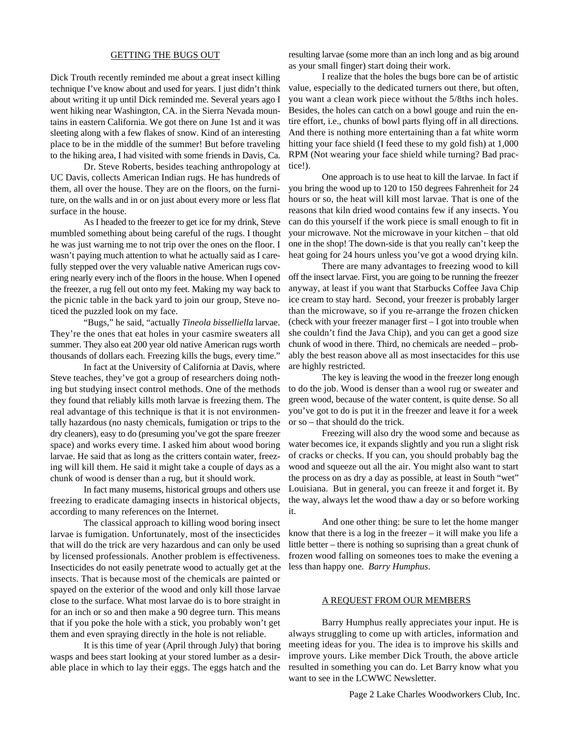#### GETTING THE BUGS OUT

Dick Trouth recently reminded me about a great insect killing technique I've know about and used for years. I just didn't think about writing it up until Dick reminded me. Several years ago I went hiking near Washington, CA. in the Sierra Nevada mountains in eastern California. We got there on June 1st and it was sleeting along with a few flakes of snow. Kind of an interesting place to be in the middle of the summer! But before traveling to the hiking area, I had visited with some friends in Davis, Ca.

Dr. Steve Roberts, besides teaching anthropology at UC Davis, collects American Indian rugs. He has hundreds of them, all over the house. They are on the floors, on the furniture, on the walls and in or on just about every more or less flat surface in the house.

As I headed to the freezer to get ice for my drink, Steve mumbled something about being careful of the rugs. I thought he was just warning me to not trip over the ones on the floor. I wasn't paying much attention to what he actually said as I carefully stepped over the very valuable native American rugs covering nearly every inch of the floors in the house. When I opened the freezer, a rug fell out onto my feet. Making my way back to the picnic table in the back yard to join our group, Steve noticed the puzzled look on my face.

"Bugs," he said, "actually *Tineola bisselliella* larvae. They're the ones that eat holes in your casmire sweaters all summer. They also eat 200 year old native American rugs worth thousands of dollars each. Freezing kills the bugs, every time."

In fact at the University of California at Davis, where Steve teaches, they've got a group of researchers doing nothing but studying insect control methods. One of the methods they found that reliably kills moth larvae is freezing them. The real advantage of this technique is that it is not environmentally hazardous (no nasty chemicals, fumigation or trips to the dry cleaners), easy to do (presuming you've got the spare freezer space) and works every time. I asked him about wood boring larvae. He said that as long as the critters contain water, freezing will kill them. He said it might take a couple of days as a chunk of wood is denser than a rug, but it should work.

In fact many musems, historical groups and others use freezing to eradicate damaging insects in historical objects, according to many references on the Internet.

The classical approach to killing wood boring insect larvae is fumigation. Unfortunately, most of the insecticides that will do the trick are very hazardous and can only be used by licensed professionals. Another problem is effectiveness. Insecticides do not easily penetrate wood to actually get at the insects. That is because most of the chemicals are painted or spayed on the exterior of the wood and only kill those larvae close to the surface. What most larvae do is to bore straight in for an inch or so and then make a 90 degree turn. This means that if you poke the hole with a stick, you probably won't get them and even spraying directly in the hole is not reliable.

It is this time of year (April through July) that boring wasps and bees start looking at your stored lumber as a desirable place in which to lay their eggs. The eggs hatch and the

resulting larvae (some more than an inch long and as big around as your small finger) start doing their work.

I realize that the holes the bugs bore can be of artistic value, especially to the dedicated turners out there, but often, you want a clean work piece without the 5/8ths inch holes. Besides, the holes can catch on a bowl gouge and ruin the entire effort, i.e., chunks of bowl parts flying off in all directions. And there is nothing more entertaining than a fat white worm hitting your face shield (I feed these to my gold fish) at 1,000 RPM (Not wearing your face shield while turning? Bad practice!).

One approach is to use heat to kill the larvae. In fact if you bring the wood up to 120 to 150 degrees Fahrenheit for 24 hours or so, the heat will kill most larvae. That is one of the reasons that kiln dried wood contains few if any insects. You can do this yourself if the work piece is small enough to fit in your microwave. Not the microwave in your kitchen – that old one in the shop! The down-side is that you really can't keep the heat going for 24 hours unless you've got a wood drying kiln.

There are many advantages to freezing wood to kill off the insect larvae. First, you are going to be running the freezer anyway, at least if you want that Starbucks Coffee Java Chip ice cream to stay hard. Second, your freezer is probably larger than the microwave, so if you re-arrange the frozen chicken (check with your freezer manager first – I got into trouble when she couldn't find the Java Chip), and you can get a good size chunk of wood in there. Third, no chemicals are needed – probably the best reason above all as most insectacides for this use are highly restricted.

The key is leaving the wood in the freezer long enough to do the job. Wood is denser than a wool rug or sweater and green wood, because of the water content, is quite dense. So all you've got to do is put it in the freezer and leave it for a week or so – that should do the trick.

Freezing will also dry the wood some and because as water becomes ice, it expands slightly and you run a slight risk of cracks or checks. If you can, you should probably bag the wood and squeeze out all the air. You might also want to start the process on as dry a day as possible, at least in South "wet" Louisiana. But in general, you can freeze it and forget it. By the way, always let the wood thaw a day or so before working it.

And one other thing: be sure to let the home manger know that there is a log in the freezer – it will make you life a little better – there is nothing so suprising than a great chunk of frozen wood falling on someones toes to make the evening a less than happy one. *Barry Humphus*.

#### A REQUEST FROM OUR MEMBERS

Barry Humphus really appreciates your input. He is always struggling to come up with articles, information and meeting ideas for you. The idea is to improve his skills and improve yours. Like member Dick Trouth, the above article resulted in something you can do. Let Barry know what you want to see in the LCWWC Newsletter.